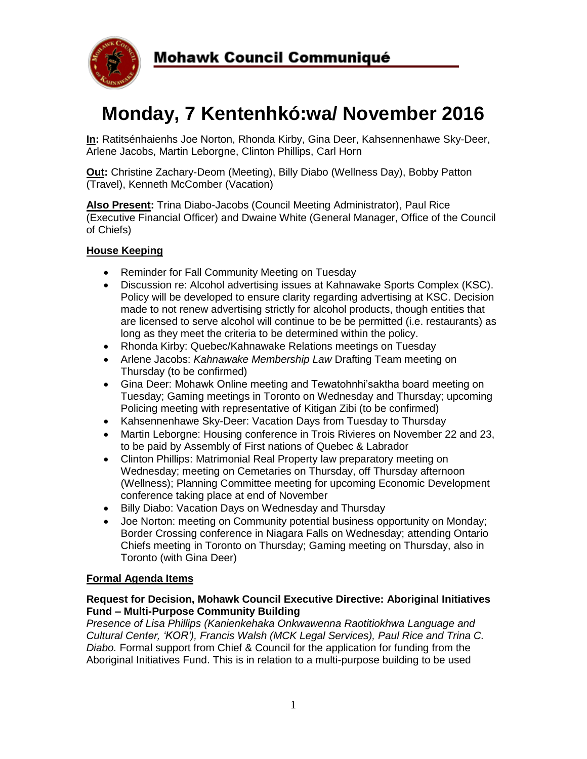

# **Monday, 7 Kentenhkó:wa/ November 2016**

**In:** Ratitsénhaienhs Joe Norton, Rhonda Kirby, Gina Deer, Kahsennenhawe Sky-Deer, Arlene Jacobs, Martin Leborgne, Clinton Phillips, Carl Horn

**Out:** Christine Zachary-Deom (Meeting), Billy Diabo (Wellness Day), Bobby Patton (Travel), Kenneth McComber (Vacation)

**Also Present:** Trina Diabo-Jacobs (Council Meeting Administrator), Paul Rice (Executive Financial Officer) and Dwaine White (General Manager, Office of the Council of Chiefs)

## **House Keeping**

- Reminder for Fall Community Meeting on Tuesday
- Discussion re: Alcohol advertising issues at Kahnawake Sports Complex (KSC). Policy will be developed to ensure clarity regarding advertising at KSC. Decision made to not renew advertising strictly for alcohol products, though entities that are licensed to serve alcohol will continue to be be permitted (i.e. restaurants) as long as they meet the criteria to be determined within the policy.
- Rhonda Kirby: Quebec/Kahnawake Relations meetings on Tuesday
- Arlene Jacobs: *Kahnawake Membership Law* Drafting Team meeting on Thursday (to be confirmed)
- Gina Deer: Mohawk Online meeting and Tewatohnhi'saktha board meeting on Tuesday; Gaming meetings in Toronto on Wednesday and Thursday; upcoming Policing meeting with representative of Kitigan Zibi (to be confirmed)
- Kahsennenhawe Sky-Deer: Vacation Days from Tuesday to Thursday
- Martin Leborgne: Housing conference in Trois Rivieres on November 22 and 23, to be paid by Assembly of First nations of Quebec & Labrador
- Clinton Phillips: Matrimonial Real Property law preparatory meeting on Wednesday; meeting on Cemetaries on Thursday, off Thursday afternoon (Wellness); Planning Committee meeting for upcoming Economic Development conference taking place at end of November
- Billy Diabo: Vacation Days on Wednesday and Thursday
- Joe Norton: meeting on Community potential business opportunity on Monday; Border Crossing conference in Niagara Falls on Wednesday; attending Ontario Chiefs meeting in Toronto on Thursday; Gaming meeting on Thursday, also in Toronto (with Gina Deer)

#### **Formal Agenda Items**

#### **Request for Decision, Mohawk Council Executive Directive: Aboriginal Initiatives Fund – Multi-Purpose Community Building**

*Presence of Lisa Phillips (Kanienkehaka Onkwawenna Raotitiokhwa Language and Cultural Center, 'KOR'), Francis Walsh (MCK Legal Services), Paul Rice and Trina C. Diabo.* Formal support from Chief & Council for the application for funding from the Aboriginal Initiatives Fund. This is in relation to a multi-purpose building to be used